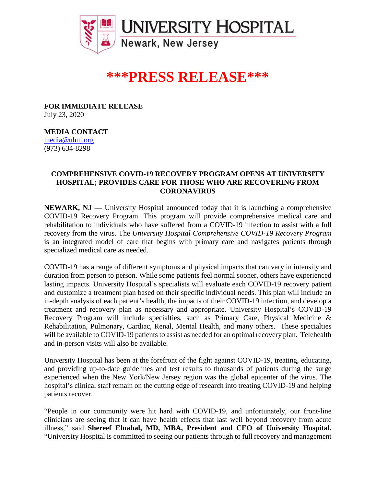

## **\*\*\*PRESS RELEASE\*\*\***

**FOR IMMEDIATE RELEASE** July 23, 2020

**MEDIA CONTACT** [media@uhnj.org](mailto:media@uhnj.org)  (973) 634-8298

## **COMPREHENSIVE COVID-19 RECOVERY PROGRAM OPENS AT UNIVERSITY HOSPITAL; PROVIDES CARE FOR THOSE WHO ARE RECOVERING FROM CORONAVIRUS**

**NEWARK, NJ —** University Hospital announced today that it is launching a comprehensive COVID-19 Recovery Program. This program will provide comprehensive medical care and rehabilitation to individuals who have suffered from a COVID-19 infection to assist with a full recovery from the virus. The *University Hospital Comprehensive COVID-19 Recovery Program* is an integrated model of care that begins with primary care and navigates patients through specialized medical care as needed.

COVID-19 has a range of different symptoms and physical impacts that can vary in intensity and duration from person to person. While some patients feel normal sooner, others have experienced lasting impacts. University Hospital's specialists will evaluate each COVID-19 recovery patient and customize a treatment plan based on their specific individual needs. This plan will include an in-depth analysis of each patient's health, the impacts of their COVID-19 infection, and develop a treatment and recovery plan as necessary and appropriate. University Hospital's COVID-19 Recovery Program will include specialties, such as Primary Care, Physical Medicine & Rehabilitation, Pulmonary, Cardiac, Renal, Mental Health, and many others. These specialties will be available to COVID-19 patients to assist as needed for an optimal recovery plan. Telehealth and in-person visits will also be available.

University Hospital has been at the forefront of the fight against COVID-19, treating, educating, and providing up-to-date guidelines and test results to thousands of patients during the surge experienced when the New York/New Jersey region was the global epicenter of the virus. The hospital's clinical staff remain on the cutting edge of research into treating COVID-19 and helping patients recover.

"People in our community were hit hard with COVID-19, and unfortunately, our front-line clinicians are seeing that it can have health effects that last well beyond recovery from acute illness," said **Shereef Elnahal, MD, MBA, President and CEO of University Hospital.** "University Hospital is committed to seeing our patients through to full recovery and management